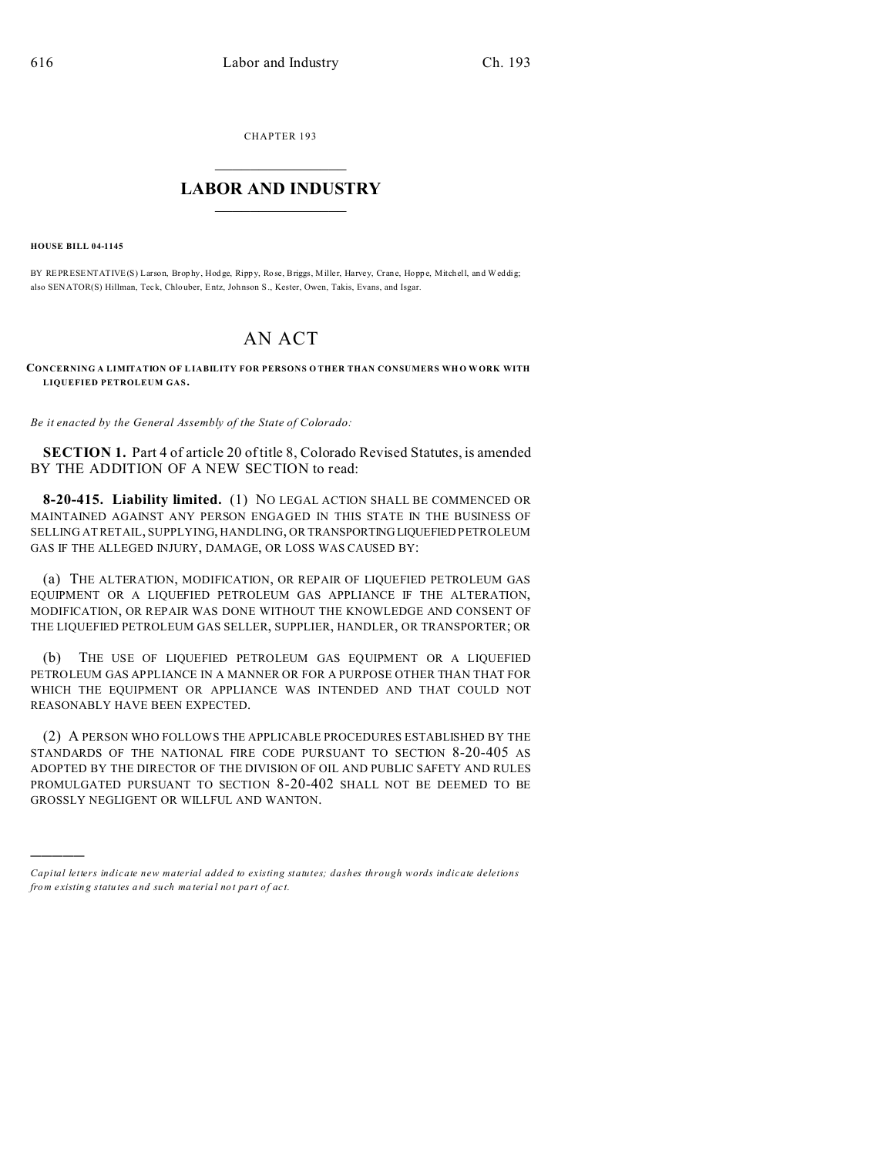CHAPTER 193  $\overline{\phantom{a}}$  , where  $\overline{\phantom{a}}$ 

## **LABOR AND INDUSTRY**  $\frac{1}{\sqrt{2}}$  ,  $\frac{1}{\sqrt{2}}$  ,  $\frac{1}{\sqrt{2}}$  ,  $\frac{1}{\sqrt{2}}$  ,  $\frac{1}{\sqrt{2}}$  ,  $\frac{1}{\sqrt{2}}$

**HOUSE BILL 04-1145**

)))))

BY REPRESENTATIVE(S) Larson, Brophy, Hodge, Rippy, Rose, Briggs, Miller, Harvey, Crane, Hoppe, Mitchell, and Weddig; also SENATOR(S) Hillman, Teck, Chlouber, Entz, Johnson S., Kester, Owen, Takis, Evans, and Isgar.

## AN ACT

**CONCERNING A LIMITATION OF LIABILITY FOR PERSONS O THER THAN CONSUMERS WH O WORK WITH LIQUEFIED PETROLEUM GAS.**

*Be it enacted by the General Assembly of the State of Colorado:*

**SECTION 1.** Part 4 of article 20 of title 8, Colorado Revised Statutes, is amended BY THE ADDITION OF A NEW SECTION to read:

**8-20-415. Liability limited.** (1) NO LEGAL ACTION SHALL BE COMMENCED OR MAINTAINED AGAINST ANY PERSON ENGAGED IN THIS STATE IN THE BUSINESS OF SELLING AT RETAIL, SUPPLYING, HANDLING, OR TRANSPORTING LIQUEFIED PETROLEUM GAS IF THE ALLEGED INJURY, DAMAGE, OR LOSS WAS CAUSED BY:

(a) THE ALTERATION, MODIFICATION, OR REPAIR OF LIQUEFIED PETROLEUM GAS EQUIPMENT OR A LIQUEFIED PETROLEUM GAS APPLIANCE IF THE ALTERATION, MODIFICATION, OR REPAIR WAS DONE WITHOUT THE KNOWLEDGE AND CONSENT OF THE LIQUEFIED PETROLEUM GAS SELLER, SUPPLIER, HANDLER, OR TRANSPORTER; OR

(b) THE USE OF LIQUEFIED PETROLEUM GAS EQUIPMENT OR A LIQUEFIED PETROLEUM GAS APPLIANCE IN A MANNER OR FOR A PURPOSE OTHER THAN THAT FOR WHICH THE EQUIPMENT OR APPLIANCE WAS INTENDED AND THAT COULD NOT REASONABLY HAVE BEEN EXPECTED.

(2) A PERSON WHO FOLLOWS THE APPLICABLE PROCEDURES ESTABLISHED BY THE STANDARDS OF THE NATIONAL FIRE CODE PURSUANT TO SECTION 8-20-405 AS ADOPTED BY THE DIRECTOR OF THE DIVISION OF OIL AND PUBLIC SAFETY AND RULES PROMULGATED PURSUANT TO SECTION 8-20-402 SHALL NOT BE DEEMED TO BE GROSSLY NEGLIGENT OR WILLFUL AND WANTON.

*Capital letters indicate new material added to existing statutes; dashes through words indicate deletions from e xistin g statu tes a nd such ma teria l no t pa rt of ac t.*